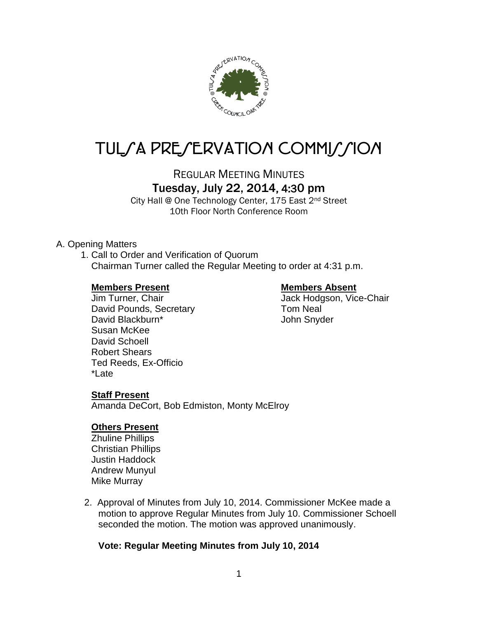

# TUL/A PRE/ERVATION COMMI*J*/ION

REGULAR MEETING MINUTES

## Tuesday, July 22, 2014, 4:30 pm

City Hall @ One Technology Center, 175 East 2nd Street 10th Floor North Conference Room

#### A. Opening Matters

1. Call to Order and Verification of Quorum Chairman Turner called the Regular Meeting to order at 4:31 p.m.

#### **Members Present Members Absent**

David Pounds, Secretary Tom Neal David Blackburn\* The Contract of School Uphr Snyder Susan McKee David Schoell Robert Shears Ted Reeds, Ex-Officio \*Late

Jim Turner, Chair **Jack Hodgson, Vice-Chair** 

### **Staff Present**

Amanda DeCort, Bob Edmiston, Monty McElroy

#### **Others Present**

Zhuline Phillips Christian Phillips Justin Haddock Andrew Munyul Mike Murray

2. Approval of Minutes from July 10, 2014. Commissioner McKee made a motion to approve Regular Minutes from July 10. Commissioner Schoell seconded the motion. The motion was approved unanimously.

### **Vote: Regular Meeting Minutes from July 10, 2014**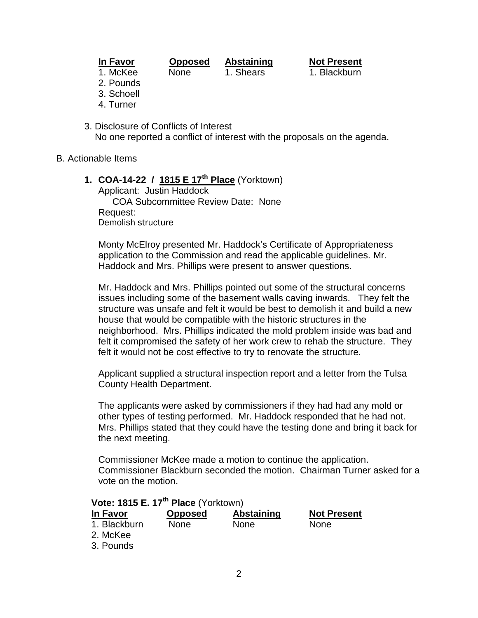| ı<br>П. | IVO<br>٠ |  |
|---------|----------|--|
|         |          |  |

**In Favor Opposed Abstaining Not Present** 1. McKee None 1. Shears 1. Blackburn

- 2. Pounds
- 3. Schoell
- 4. Turner
- 3. Disclosure of Conflicts of Interest No one reported a conflict of interest with the proposals on the agenda.

#### B. Actionable Items

**1. COA-14-22 / 1815 E 17th Place** (Yorktown)

Applicant: Justin Haddock COA Subcommittee Review Date: None Request: Demolish structure

Monty McElroy presented Mr. Haddock's Certificate of Appropriateness application to the Commission and read the applicable guidelines. Mr. Haddock and Mrs. Phillips were present to answer questions.

Mr. Haddock and Mrs. Phillips pointed out some of the structural concerns issues including some of the basement walls caving inwards. They felt the structure was unsafe and felt it would be best to demolish it and build a new house that would be compatible with the historic structures in the neighborhood. Mrs. Phillips indicated the mold problem inside was bad and felt it compromised the safety of her work crew to rehab the structure. They felt it would not be cost effective to try to renovate the structure.

Applicant supplied a structural inspection report and a letter from the Tulsa County Health Department.

The applicants were asked by commissioners if they had had any mold or other types of testing performed. Mr. Haddock responded that he had not. Mrs. Phillips stated that they could have the testing done and bring it back for the next meeting.

Commissioner McKee made a motion to continue the application. Commissioner Blackburn seconded the motion. Chairman Turner asked for a vote on the motion.

| Vote: 1815 E. 17 <sup>th</sup> Place (Yorktown) |                |                   |                    |  |  |  |
|-------------------------------------------------|----------------|-------------------|--------------------|--|--|--|
| In Favor                                        | <b>Opposed</b> | <b>Abstaining</b> | <b>Not Present</b> |  |  |  |
| 1. Blackburn<br>2. McKee<br>3. Pounds           | None           | <b>None</b>       | <b>None</b>        |  |  |  |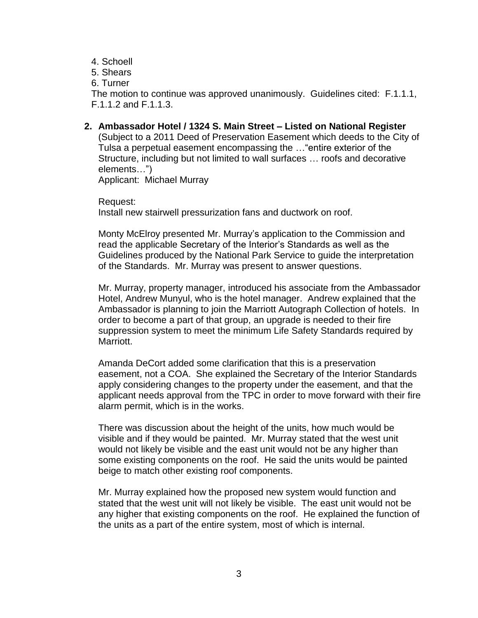- 4. Schoell
- 5. Shears
- 6. Turner

The motion to continue was approved unanimously. Guidelines cited: F.1.1.1, F.1.1.2 and F.1.1.3.

**2. Ambassador Hotel / 1324 S. Main Street – Listed on National Register** (Subject to a 2011 Deed of Preservation Easement which deeds to the City of Tulsa a perpetual easement encompassing the …"entire exterior of the Structure, including but not limited to wall surfaces … roofs and decorative elements…") Applicant: Michael Murray

Request: Install new stairwell pressurization fans and ductwork on roof.

Monty McElroy presented Mr. Murray's application to the Commission and read the applicable Secretary of the Interior's Standards as well as the Guidelines produced by the National Park Service to guide the interpretation of the Standards. Mr. Murray was present to answer questions.

Mr. Murray, property manager, introduced his associate from the Ambassador Hotel, Andrew Munyul, who is the hotel manager. Andrew explained that the Ambassador is planning to join the Marriott Autograph Collection of hotels. In order to become a part of that group, an upgrade is needed to their fire suppression system to meet the minimum Life Safety Standards required by Marriott.

Amanda DeCort added some clarification that this is a preservation easement, not a COA. She explained the Secretary of the Interior Standards apply considering changes to the property under the easement, and that the applicant needs approval from the TPC in order to move forward with their fire alarm permit, which is in the works.

There was discussion about the height of the units, how much would be visible and if they would be painted. Mr. Murray stated that the west unit would not likely be visible and the east unit would not be any higher than some existing components on the roof. He said the units would be painted beige to match other existing roof components.

Mr. Murray explained how the proposed new system would function and stated that the west unit will not likely be visible. The east unit would not be any higher that existing components on the roof. He explained the function of the units as a part of the entire system, most of which is internal.